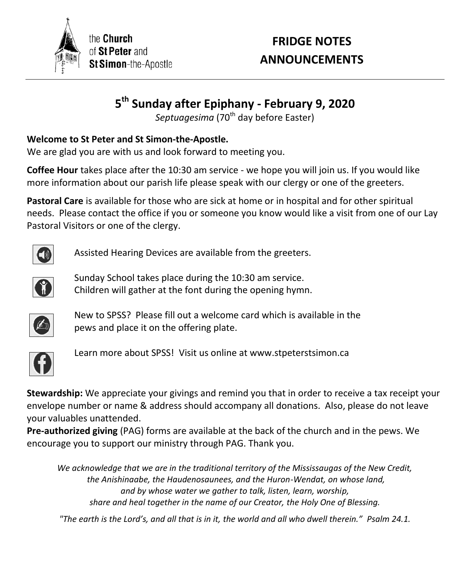

the **Church** of St Peter and St Simon-the-Apostle

# **FRIDGE NOTES ANNOUNCEMENTS**

# **5 th Sunday after Epiphany - February 9, 2020**

*Septuagesima* (70<sup>th</sup> day before Easter)

## **Welcome to St Peter and St Simon-the-Apostle.**

We are glad you are with us and look forward to meeting you.

**Coffee Hour** takes place after the 10:30 am service - we hope you will join us. If you would like more information about our parish life please speak with our clergy or one of the greeters.

**Pastoral Care** is available for those who are sick at home or in hospital and for other spiritual needs. Please contact the office if you or someone you know would like a visit from one of our Lay Pastoral Visitors or one of the clergy.



Assisted Hearing Devices are available from the greeters.



Sunday School takes place during the 10:30 am service. Children will gather at the font during the opening hymn.



New to SPSS? Please fill out a welcome card which is available in the pews and place it on the offering plate.



Learn more about SPSS! Visit us online at www.stpeterstsimon.ca

**Stewardship:** We appreciate your givings and remind you that in order to receive a tax receipt your envelope number or name & address should accompany all donations. Also, please do not leave your valuables unattended.

**Pre-authorized giving** (PAG) forms are available at the back of the church and in the pews. We encourage you to support our ministry through PAG. Thank you.

*We acknowledge that we are in the traditional territory of the Mississaugas of the New Credit, the Anishinaabe, the Haudenosaunees, and the Huron-Wendat, on whose land, and by whose water we gather to talk, listen, learn, worship, share and heal together in the name of our Creator, the Holy One of Blessing.*

*"The earth is the Lord's, and all that is in it, the world and all who dwell therein." Psalm 24.1.*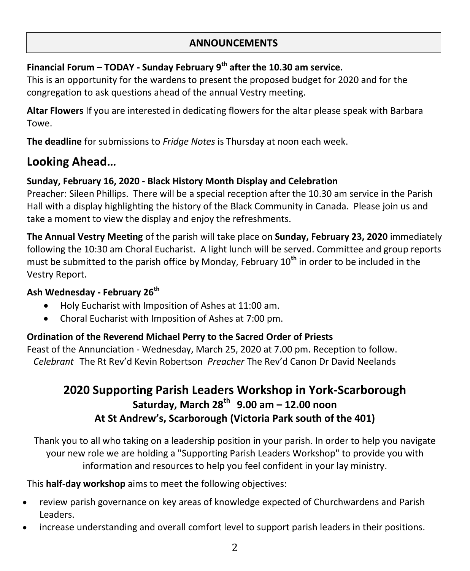#### **ANNOUNCEMENTS**

# **Financial Forum – TODAY - Sunday February 9th after the 10.30 am service.**

This is an opportunity for the wardens to present the proposed budget for 2020 and for the congregation to ask questions ahead of the annual Vestry meeting.

**Altar Flowers** If you are interested in dedicating flowers for the altar please speak with Barbara Towe.

**The deadline** for submissions to *Fridge Notes* is Thursday at noon each week.

# **Looking Ahead…**

#### **Sunday, February 16, 2020 - Black History Month Display and Celebration**

Preacher: Sileen Phillips. There will be a special reception after the 10.30 am service in the Parish Hall with a display highlighting the history of the Black Community in Canada. Please join us and take a moment to view the display and enjoy the refreshments.

**The Annual Vestry Meeting** of the parish will take place on **Sunday, February 23, 2020** immediately following the 10:30 am Choral Eucharist. A light lunch will be served. Committee and group reports must be submitted to the parish office by Monday, February 10**th** in order to be included in the Vestry Report.

#### **Ash Wednesday - February 26th**

- Holy Eucharist with Imposition of Ashes at 11:00 am.
- Choral Eucharist with Imposition of Ashes at 7:00 pm.

#### **Ordination of the Reverend Michael Perry to the Sacred Order of Priests**

Feast of the Annunciation - Wednesday, March 25, 2020 at 7.00 pm. Reception to follow. *Celebrant* The Rt Rev'd Kevin Robertson *Preacher* The Rev'd Canon Dr David Neelands

# **2020 Supporting Parish Leaders Workshop in York-Scarborough Saturday, March 28th 9.00 am – 12.00 noon At St Andrew's, Scarborough (Victoria Park south of the 401)**

Thank you to all who taking on a leadership position in your parish. In order to help you navigate your new role we are holding a "Supporting Parish Leaders Workshop" to provide you with information and resources to help you feel confident in your lay ministry.

This **half-day workshop** aims to meet the following objectives:

- review parish governance on key areas of knowledge expected of Churchwardens and Parish Leaders.
- increase understanding and overall comfort level to support parish leaders in their positions.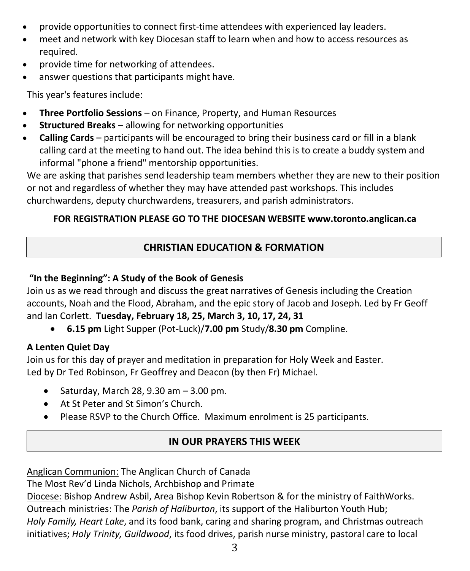- provide opportunities to connect first-time attendees with experienced lay leaders.
- meet and network with key Diocesan staff to learn when and how to access resources as required.
- provide time for networking of attendees.
- answer questions that participants might have.

This year's features include:

- **Three Portfolio Sessions** on Finance, Property, and Human Resources
- **Structured Breaks** allowing for networking opportunities
- **Calling Cards** participants will be encouraged to bring their business card or fill in a blank calling card at the meeting to hand out. The idea behind this is to create a buddy system and informal "phone a friend" mentorship opportunities.

We are asking that parishes send leadership team members whether they are new to their position or not and regardless of whether they may have attended past workshops. This includes churchwardens, deputy churchwardens, treasurers, and parish administrators.

## **FOR REGISTRATION PLEASE GO TO THE DIOCESAN WEBSITE www.toronto.anglican.ca**

## **CHRISTIAN EDUCATION & FORMATION**

### **"In the Beginning": A Study of the Book of Genesis**

Join us as we read through and discuss the great narratives of Genesis including the Creation accounts, Noah and the Flood, Abraham, and the epic story of Jacob and Joseph. Led by Fr Geoff and Ian Corlett. **Tuesday, February 18, 25, March 3, 10, 17, 24, 31**

**6.15 pm** Light Supper (Pot-Luck)/**7.00 pm** Study/**8.30 pm** Compline.

#### **A Lenten Quiet Day**

Join us for this day of prayer and meditation in preparation for Holy Week and Easter. Led by Dr Ted Robinson, Fr Geoffrey and Deacon (by then Fr) Michael.

- Saturday, March 28, 9.30 am  $-3.00$  pm.
- At St Peter and St Simon's Church.
- Please RSVP to the Church Office. Maximum enrolment is 25 participants.

## **IN OUR PRAYERS THIS WEEK PRAYERS**

Anglican Communion: The Anglican Church of Canada

The Most Rev'd Linda Nichols, Archbishop and Primate

Diocese: Bishop Andrew Asbil, Area Bishop Kevin Robertson & for the ministry of FaithWorks. Outreach ministries: The *Parish of Haliburton*, its support of the Haliburton Youth Hub; *Holy Family, Heart Lake*, and its food bank, caring and sharing program, and Christmas outreach initiatives; *Holy Trinity, Guildwood*, its food drives, parish nurse ministry, pastoral care to local